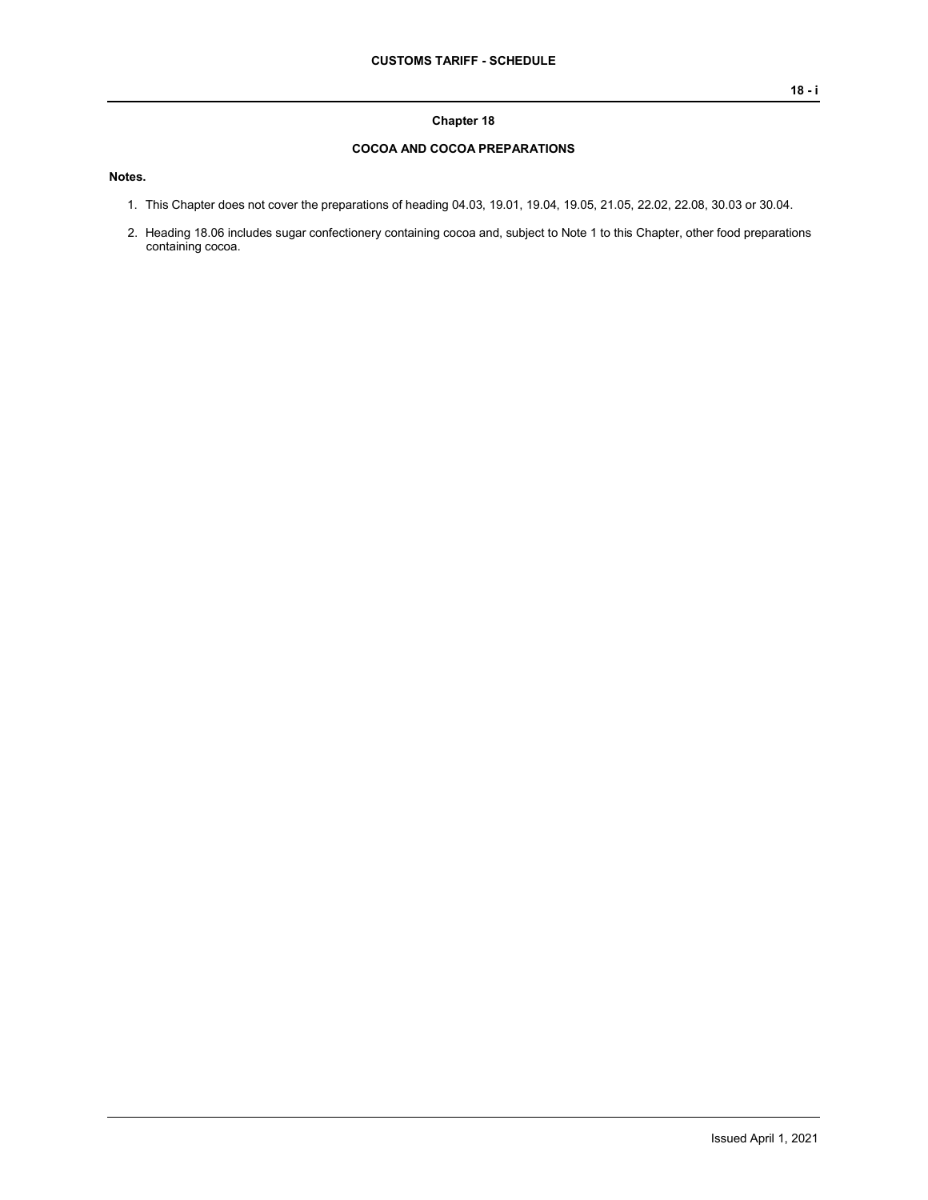## **Chapter 18**

## **COCOA AND COCOA PREPARATIONS**

**Notes.**

- 1. This Chapter does not cover the preparations of heading 04.03, 19.01, 19.04, 19.05, 21.05, 22.02, 22.08, 30.03 or 30.04.
- 2. Heading 18.06 includes sugar confectionery containing cocoa and, subject to Note 1 to this Chapter, other food preparations containing cocoa.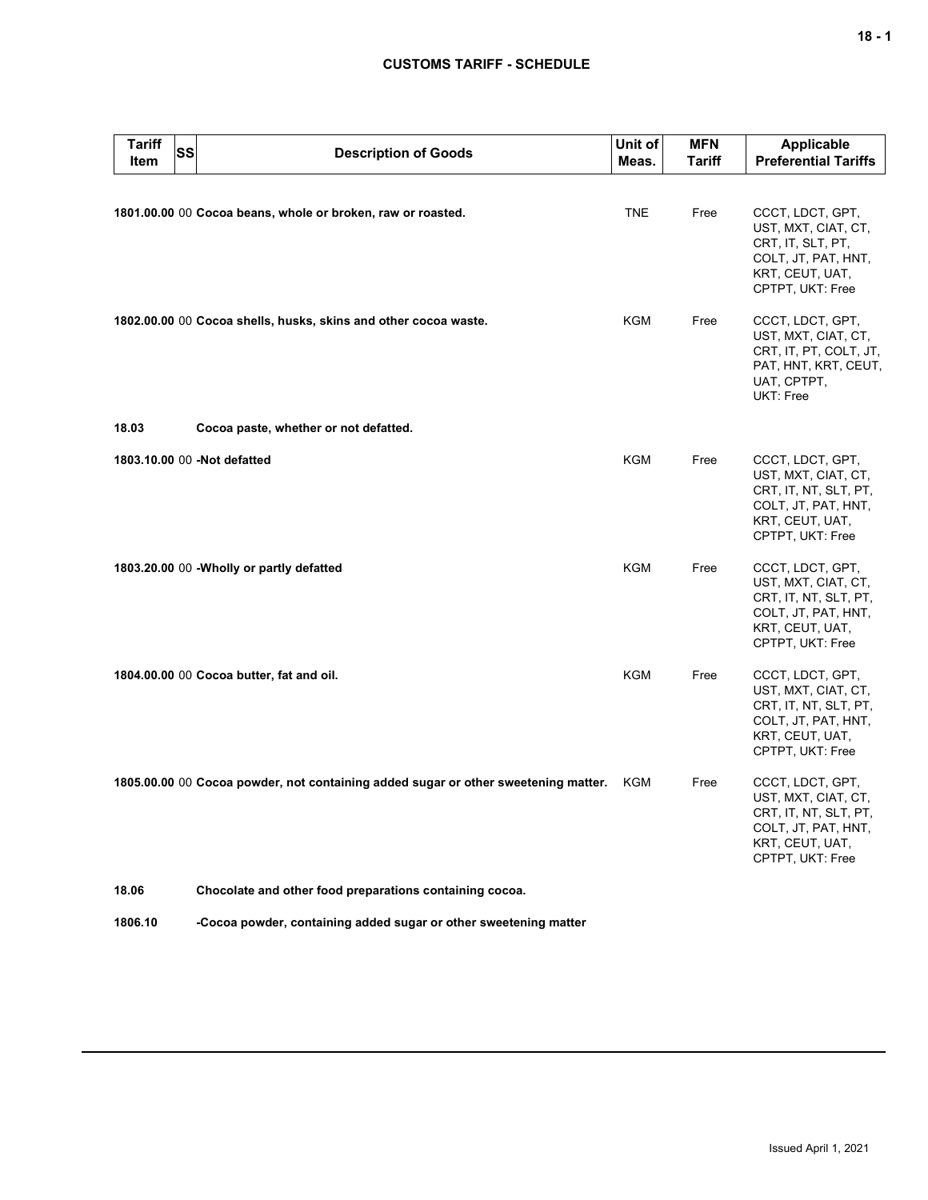## **CUSTOMS TARIFF - SCHEDULE**

| Tariff<br><b>SS</b><br><b>Item</b> | <b>Description of Goods</b>                                                        | Unit of<br>Meas. | <b>MFN</b><br><b>Tariff</b> | Applicable<br><b>Preferential Tariffs</b>                                                                                      |
|------------------------------------|------------------------------------------------------------------------------------|------------------|-----------------------------|--------------------------------------------------------------------------------------------------------------------------------|
|                                    | 1801.00.00 00 Cocoa beans, whole or broken, raw or roasted.                        | <b>TNE</b>       | Free                        | CCCT, LDCT, GPT,<br>UST, MXT, CIAT, CT,<br>CRT, IT, SLT, PT,<br>COLT, JT, PAT, HNT,<br>KRT, CEUT, UAT,<br>CPTPT, UKT: Free     |
|                                    | 1802.00.00 00 Cocoa shells, husks, skins and other cocoa waste.                    | KGM              | Free                        | CCCT, LDCT, GPT,<br>UST, MXT, CIAT, CT,<br>CRT, IT, PT, COLT, JT,<br>PAT, HNT, KRT, CEUT,<br>UAT, CPTPT,<br>UKT: Free          |
| 18.03                              | Cocoa paste, whether or not defatted.                                              |                  |                             |                                                                                                                                |
| 1803.10.00 00 -Not defatted        |                                                                                    | KGM              | Free                        | CCCT, LDCT, GPT,<br>UST, MXT, CIAT, CT,<br>CRT, IT, NT, SLT, PT,<br>COLT, JT, PAT, HNT,<br>KRT, CEUT, UAT,<br>CPTPT, UKT: Free |
|                                    | 1803.20.00 00 - Wholly or partly defatted                                          | <b>KGM</b>       | Free                        | CCCT, LDCT, GPT,<br>UST, MXT, CIAT, CT,<br>CRT, IT, NT, SLT, PT,<br>COLT, JT, PAT, HNT,<br>KRT, CEUT, UAT,<br>CPTPT, UKT: Free |
|                                    | 1804.00.00 00 Cocoa butter, fat and oil.                                           | KGM              | Free                        | CCCT, LDCT, GPT,<br>UST, MXT, CIAT, CT,<br>CRT, IT, NT, SLT, PT,<br>COLT, JT, PAT, HNT,<br>KRT, CEUT, UAT,<br>CPTPT, UKT: Free |
|                                    | 1805.00.00 00 Cocoa powder, not containing added sugar or other sweetening matter. | KGM              | Free                        | CCCT, LDCT, GPT,<br>UST, MXT, CIAT, CT,<br>CRT, IT, NT, SLT, PT,<br>COLT, JT, PAT, HNT,<br>KRT, CEUT, UAT,<br>CPTPT, UKT: Free |
| 18.06                              | Chocolate and other food preparations containing cocoa.                            |                  |                             |                                                                                                                                |

**1806.10 -Cocoa powder, containing added sugar or other sweetening matter**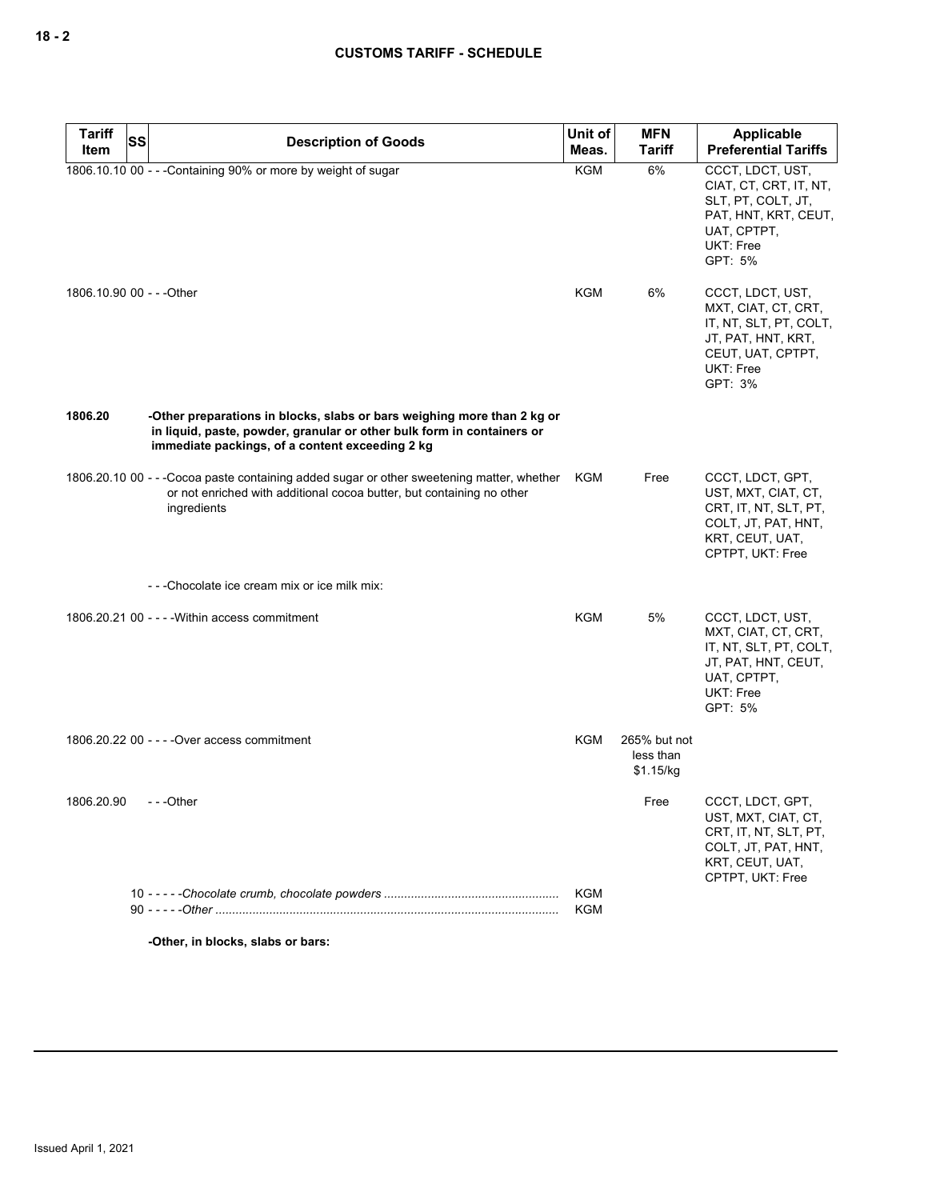| <b>Tariff</b>             | <b>SS</b><br><b>Description of Goods</b>                                                                                                                                                             | Unit of    | <b>MFN</b>                             | Applicable                                                                                                                           |
|---------------------------|------------------------------------------------------------------------------------------------------------------------------------------------------------------------------------------------------|------------|----------------------------------------|--------------------------------------------------------------------------------------------------------------------------------------|
| Item                      |                                                                                                                                                                                                      | Meas.      | <b>Tariff</b>                          | <b>Preferential Tariffs</b>                                                                                                          |
|                           | 1806.10.10 00 - - - Containing 90% or more by weight of sugar                                                                                                                                        | <b>KGM</b> | 6%                                     | CCCT, LDCT, UST,<br>CIAT, CT, CRT, IT, NT,<br>SLT, PT, COLT, JT,<br>PAT, HNT, KRT, CEUT,<br>UAT, CPTPT,<br>UKT: Free<br>GPT: 5%      |
| 1806.10.90 00 - - - Other |                                                                                                                                                                                                      | KGM        | 6%                                     | CCCT, LDCT, UST,<br>MXT, CIAT, CT, CRT,<br>IT, NT, SLT, PT, COLT,<br>JT, PAT, HNT, KRT,<br>CEUT, UAT, CPTPT,<br>UKT: Free<br>GPT: 3% |
| 1806.20                   | -Other preparations in blocks, slabs or bars weighing more than 2 kg or<br>in liquid, paste, powder, granular or other bulk form in containers or<br>immediate packings, of a content exceeding 2 kg |            |                                        |                                                                                                                                      |
|                           | 1806.20.10 00 - - - Cocoa paste containing added sugar or other sweetening matter, whether<br>or not enriched with additional cocoa butter, but containing no other<br>ingredients                   | KGM        | Free                                   | CCCT, LDCT, GPT,<br>UST, MXT, CIAT, CT,<br>CRT, IT, NT, SLT, PT,<br>COLT, JT, PAT, HNT,<br>KRT, CEUT, UAT,<br>CPTPT, UKT: Free       |
|                           | ---Chocolate ice cream mix or ice milk mix:                                                                                                                                                          |            |                                        |                                                                                                                                      |
|                           | 1806.20.21 00 - - - - Within access commitment                                                                                                                                                       | KGM        | 5%                                     | CCCT, LDCT, UST,<br>MXT, CIAT, CT, CRT,<br>IT, NT, SLT, PT, COLT,<br>JT, PAT, HNT, CEUT,<br>UAT, CPTPT,<br>UKT: Free<br>GPT: 5%      |
|                           | 1806.20.22 00 - - - - Over access commitment                                                                                                                                                         | KGM        | 265% but not<br>less than<br>\$1.15/kg |                                                                                                                                      |
| 1806.20.90 - - - - Other  |                                                                                                                                                                                                      |            | Free                                   | CCCT, LDCT, GPT,<br>UST, MXT, CIAT, CT,<br>CRT, IT, NT, SLT, PT,<br>COLT, JT, PAT, HNT,<br>KRT, CEUT, UAT,<br>CPTPT, UKT: Free       |
|                           |                                                                                                                                                                                                      | KGM<br>KGM |                                        |                                                                                                                                      |

**-Other, in blocks, slabs or bars:**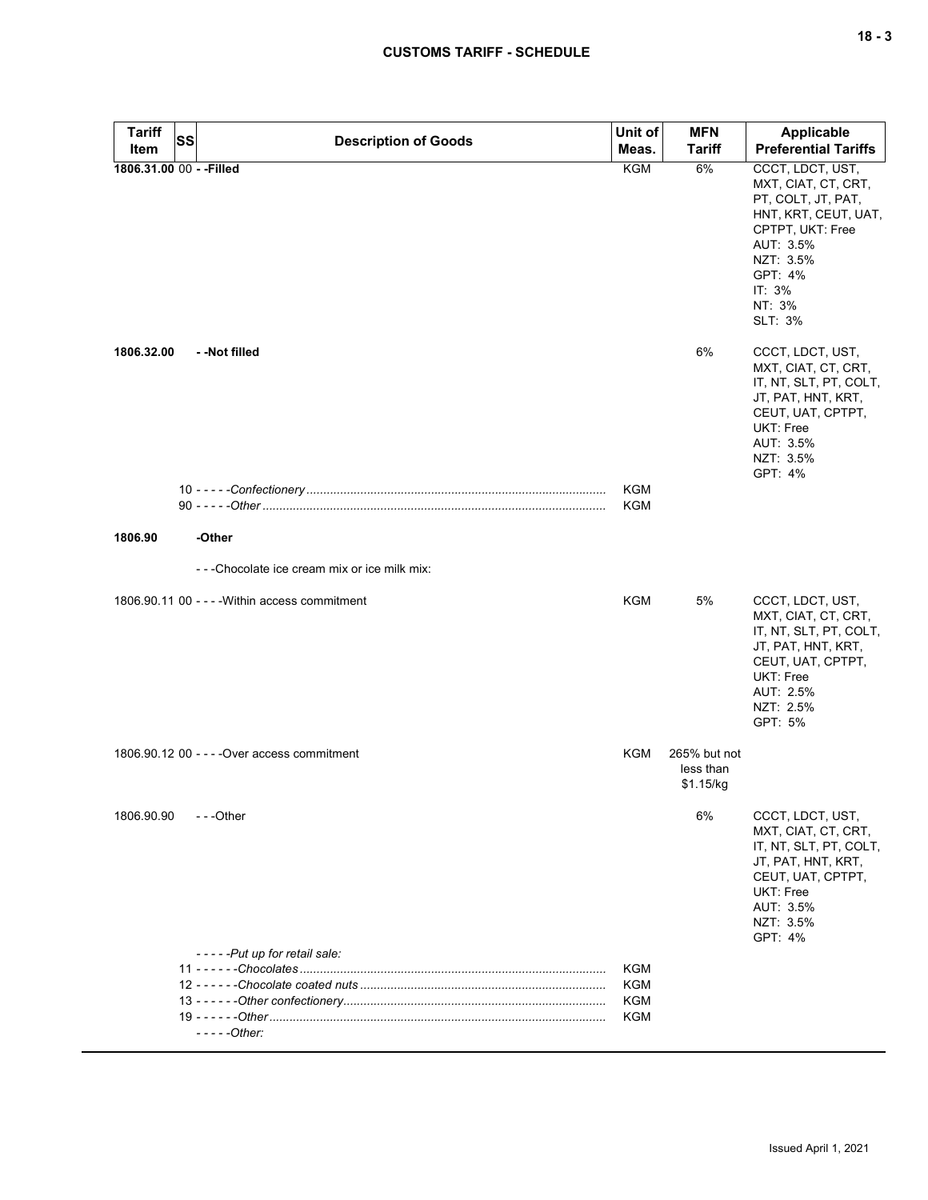| Tariff                   | <b>SS</b> | <b>Description of Goods</b>                    | Unit of    | <b>MFN</b>                             | <b>Applicable</b>                                                                                                                                                             |
|--------------------------|-----------|------------------------------------------------|------------|----------------------------------------|-------------------------------------------------------------------------------------------------------------------------------------------------------------------------------|
| Item                     |           |                                                | Meas.      | <b>Tariff</b>                          | <b>Preferential Tariffs</b>                                                                                                                                                   |
| 1806.31.00 00 - - Filled |           |                                                | <b>KGM</b> | 6%                                     | CCCT, LDCT, UST,<br>MXT, CIAT, CT, CRT,<br>PT, COLT, JT, PAT,<br>HNT, KRT, CEUT, UAT,<br>CPTPT, UKT: Free<br>AUT: 3.5%<br>NZT: 3.5%<br>GPT: 4%<br>IT: 3%<br>NT: 3%<br>SLT: 3% |
| 1806.32.00               |           | - -Not filled                                  |            | 6%                                     | CCCT, LDCT, UST,<br>MXT, CIAT, CT, CRT,<br>IT, NT, SLT, PT, COLT,<br>JT, PAT, HNT, KRT,<br>CEUT, UAT, CPTPT,<br>UKT: Free<br>AUT: 3.5%<br>NZT: 3.5%<br>GPT: 4%                |
|                          |           |                                                | KGM<br>KGM |                                        |                                                                                                                                                                               |
|                          |           |                                                |            |                                        |                                                                                                                                                                               |
| 1806.90                  |           | -Other                                         |            |                                        |                                                                                                                                                                               |
|                          |           | ---Chocolate ice cream mix or ice milk mix:    |            |                                        |                                                                                                                                                                               |
|                          |           | 1806.90.11 00 - - - - Within access commitment | KGM        | 5%                                     | CCCT, LDCT, UST,<br>MXT, CIAT, CT, CRT,<br>IT, NT, SLT, PT, COLT,<br>JT, PAT, HNT, KRT,<br>CEUT, UAT, CPTPT,<br>UKT: Free<br>AUT: 2.5%<br>NZT: 2.5%<br>GPT: 5%                |
|                          |           | 1806.90.12 00 - - - - Over access commitment   | <b>KGM</b> | 265% but not<br>less than<br>\$1.15/kg |                                                                                                                                                                               |
| 1806.90.90               |           | ---Other<br>-----Put up for retail sale:       |            | 6%                                     | CCCT, LDCT, UST,<br>MXT, CIAT, CT, CRT,<br>IT, NT, SLT, PT, COLT,<br>JT, PAT, HNT, KRT,<br>CEUT, UAT, CPTPT,<br>UKT: Free<br>AUT: 3.5%<br>NZT: 3.5%<br>GPT: 4%                |
|                          |           |                                                | KGM        |                                        |                                                                                                                                                                               |
|                          |           |                                                | KGM        |                                        |                                                                                                                                                                               |
|                          |           |                                                | KGM        |                                        |                                                                                                                                                                               |
|                          |           | - - - - - Other:                               | KGM        |                                        |                                                                                                                                                                               |
|                          |           |                                                |            |                                        |                                                                                                                                                                               |